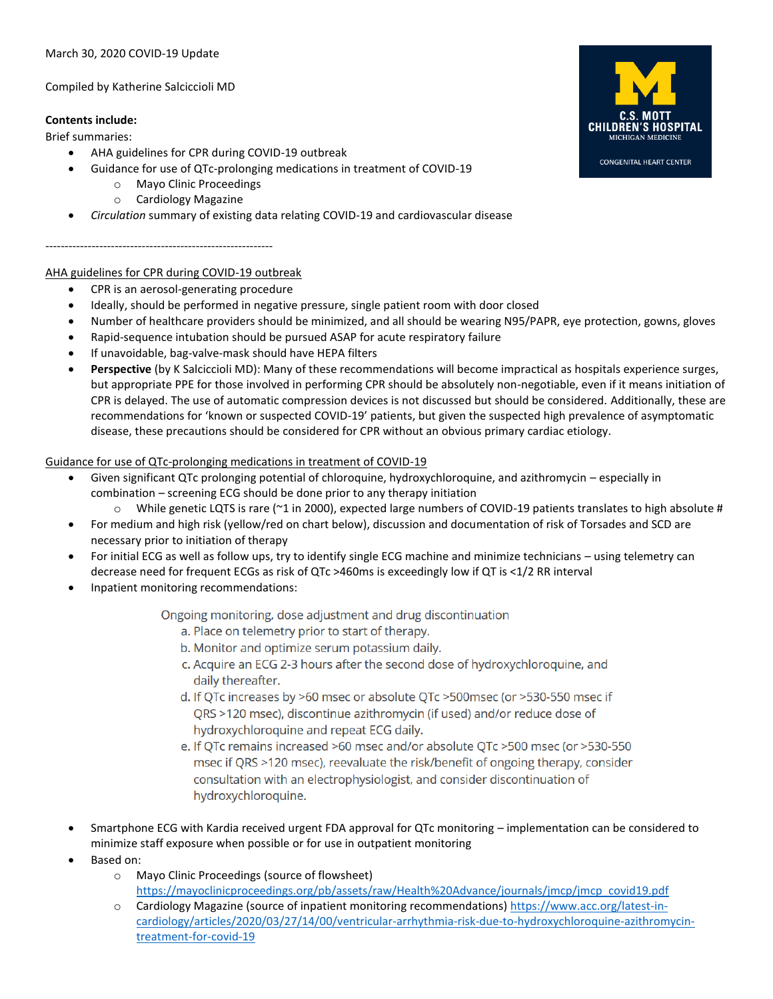Compiled by Katherine Salciccioli MD

## **Contents include:**

Brief summaries:

- AHA guidelines for CPR during COVID-19 outbreak
- Guidance for use of QTc-prolonging medications in treatment of COVID-19
	- o Mayo Clinic Proceedings
	- o Cardiology Magazine
- *Circulation* summary of existing data relating COVID-19 and cardiovascular disease

## -----------------------------------------------------------

## AHA guidelines for CPR during COVID-19 outbreak

- CPR is an aerosol-generating procedure
- Ideally, should be performed in negative pressure, single patient room with door closed
- Number of healthcare providers should be minimized, and all should be wearing N95/PAPR, eye protection, gowns, gloves
- Rapid-sequence intubation should be pursued ASAP for acute respiratory failure
- If unavoidable, bag-valve-mask should have HEPA filters
- **Perspective** (by K Salciccioli MD): Many of these recommendations will become impractical as hospitals experience surges, but appropriate PPE for those involved in performing CPR should be absolutely non-negotiable, even if it means initiation of CPR is delayed. The use of automatic compression devices is not discussed but should be considered. Additionally, these are recommendations for 'known or suspected COVID-19' patients, but given the suspected high prevalence of asymptomatic disease, these precautions should be considered for CPR without an obvious primary cardiac etiology.

## Guidance for use of QTc-prolonging medications in treatment of COVID-19

- Given significant QTc prolonging potential of chloroquine, hydroxychloroquine, and azithromycin especially in combination – screening ECG should be done prior to any therapy initiation
	- $\circ$  While genetic LQTS is rare ( $\circ$ 1 in 2000), expected large numbers of COVID-19 patients translates to high absolute #
- For medium and high risk (yellow/red on chart below), discussion and documentation of risk of Torsades and SCD are necessary prior to initiation of therapy
- For initial ECG as well as follow ups, try to identify single ECG machine and minimize technicians using telemetry can decrease need for frequent ECGs as risk of QTc >460ms is exceedingly low if QT is <1/2 RR interval
- Inpatient monitoring recommendations:

Ongoing monitoring, dose adjustment and drug discontinuation

- a. Place on telemetry prior to start of therapy.
- b. Monitor and optimize serum potassium daily.
- c. Acquire an ECG 2-3 hours after the second dose of hydroxychloroquine, and daily thereafter.
- d. If QTc increases by >60 msec or absolute QTc >500msec (or >530-550 msec if QRS >120 msec), discontinue azithromycin (if used) and/or reduce dose of hydroxychloroquine and repeat ECG daily.
- e. If QTc remains increased >60 msec and/or absolute QTc >500 msec (or >530-550 msec if QRS >120 msec), reevaluate the risk/benefit of ongoing therapy, consider consultation with an electrophysiologist, and consider discontinuation of hydroxychloroquine.
- Smartphone ECG with Kardia received urgent FDA approval for QTc monitoring implementation can be considered to minimize staff exposure when possible or for use in outpatient monitoring
- Based on:
	- o Mayo Clinic Proceedings (source of flowsheet) [https://mayoclinicproceedings.org/pb/assets/raw/Health%20Advance/journals/jmcp/jmcp\\_covid19.pdf](https://mayoclinicproceedings.org/pb/assets/raw/Health%20Advance/journals/jmcp/jmcp_covid19.pdf)
	- o Cardiology Magazine (source of inpatient monitoring recommendations) [https://www.acc.org/latest-in](https://www.acc.org/latest-in-cardiology/articles/2020/03/27/14/00/ventricular-arrhythmia-risk-due-to-hydroxychloroquine-azithromycin-treatment-for-covid-19)[cardiology/articles/2020/03/27/14/00/ventricular-arrhythmia-risk-due-to-hydroxychloroquine-azithromycin](https://www.acc.org/latest-in-cardiology/articles/2020/03/27/14/00/ventricular-arrhythmia-risk-due-to-hydroxychloroquine-azithromycin-treatment-for-covid-19)[treatment-for-covid-19](https://www.acc.org/latest-in-cardiology/articles/2020/03/27/14/00/ventricular-arrhythmia-risk-due-to-hydroxychloroquine-azithromycin-treatment-for-covid-19)



**CONGENITAL HEART CENTER**